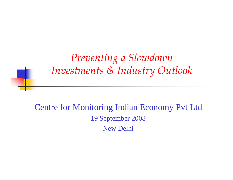*Preventing a Slowdown Investments & Industry Outlook*

Centre for Monitoring Indian Economy Pvt Ltd 19 September 2008 New Delhi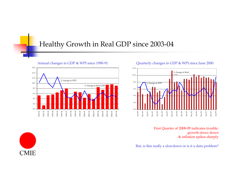#### Healthy Growth in Real GDP since 2003-04



#### Annual changes in GDP & WPI since 1990-91 Quarterly changes in GDP & WPI since June 2000



First Quarter of 2008-09 indicates trouble: growth slows down & inflation spikes sharply

But, is this really a slowdown or is it a data problem?

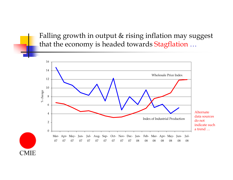Falling growth in output & rising inflation may suggest that the economy is headed towards Stagflation ...

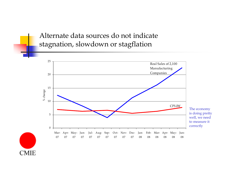Alternate data sources do not indicate stagnation, slowdown or stagflation

**CMIE** 

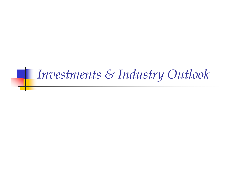# *Investments & Industry Outlook*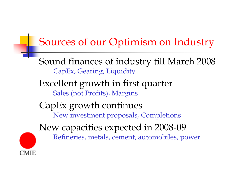## Sources of our Optimism on Industry

Sound finances of industry till March 2008 CapEx, Gearing, Liquidity

Excellent growth in first quarter Sales (not Profits), Margins

# CapEx growth continues

CMIE

New investment proposals, Completions

New capacities expected in 2008-09

Refineries, metals, cement, automobiles, power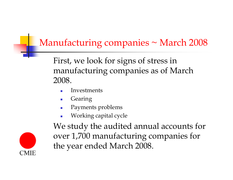## Manufacturing companies  $\sim$  March 2008

First, we look for signs of stress in manufacturing companies as of March 2008.

- ▉ Investments
- $\overline{\phantom{a}}$ Gearing
- ▉ Payments problems
- $\overline{\phantom{a}}$ Working capital cycle

![](_page_6_Picture_6.jpeg)

We study the audited annual accounts for over 1,700 manufacturing companies for the year ended March 2008.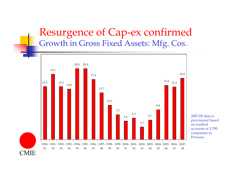#### Resurgence of Cap-ex confirmed Growth in Gross Fixed Assets: Mfg. Cos.

![](_page_7_Figure_1.jpeg)

2007-08 data is provisional based on audited accounts of 1,700 companies in Prowess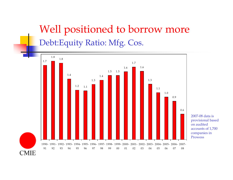# Well positioned to borrow more Debt:Equity Ratio: Mfg. Cos.

![](_page_8_Figure_1.jpeg)

2007-08 data is provisional based on audited accounts of 1,700 companies in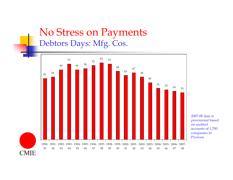## No Stress on Payments Debtors Days: Mfg. Cos.

![](_page_9_Figure_1.jpeg)

2007-08 data is provisional based on audited accounts of 1,700 companies in Prowess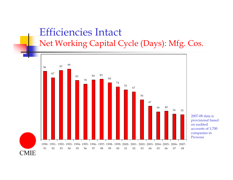## Efficiencies Intact Net Working Capital Cycle (Days): Mfg. Cos.

![](_page_10_Figure_1.jpeg)

2007-08 data is provisional based on audited accounts of 1,700 companies in Prowess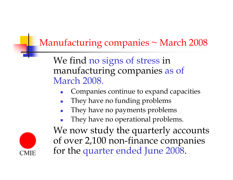## Manufacturing companies  $\sim$  March 2008

We find no signs of stress in manufacturing companies as of March 2008.

- Companies continue to expand capacities
- They have no funding problems
- П They have no payments problems
- $\frac{1}{\sqrt{2}}$ They have no operational problems.

![](_page_11_Picture_6.jpeg)

We now study the quarterly accounts of over 2,100 non-finance companies for the quarter ended June 2008.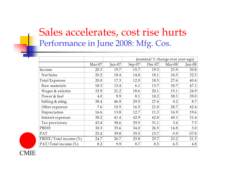## Sales accelerates, cost rise hurts Performance in June 2008: Mfg. Cos.

|                        |        |        | (nominal % change over year-ago) |        |        |         |
|------------------------|--------|--------|----------------------------------|--------|--------|---------|
|                        | Mar-07 | Jun-07 | Sep-07                           | Dec-07 | Mar-08 | Jun-08  |
| Income                 | 20.3   | 19.7   | 15.7                             | 19.3   | 23.9   | 30.8    |
| Net Sales              | 20.2   | 18.4   | 14.8                             | 18.1   | 24.5   | 32.5    |
| <b>Total Expenses</b>  | 20.0   | 17.3   | 12.9                             | 18.5   | 27.6   | 40.4    |
| Raw materials          | 18.3   | 13.4   | 6.1                              | 13.7   | 30.7   | 47.1    |
| Wages & salaries       | 32.9   | 21.2   | 18.6                             | 20.1   | 15.1   | 24.9    |
| Power & fuel           | 4.0    | 9.9    | 8.1                              | 18.2   | 38.3   | 39.0    |
| Selling & mktg.        | 38.4   | 46.9   | 29.5                             | 27.4   | 0.2    | 8.7     |
| Other expenses         | 7.6    | 10.5   | 16.5                             | 21.0   | 28.7   | 42.4    |
| Depreciation           | 16.6   | 13.8   | 12.7                             | 11.3   | 16.9   | 19.6    |
| Interest expenses      | 38.2   | 41.4   | 42.9                             | 42.8   | 40.1   | 31.4    |
| Tax provisions         | 43.4   | 38.6   | 29.5                             | 31.1   | 3.4    | 7.5     |
| PBDIT                  | 30.3   | 35.6   | 34.0                             | 26.5   | 14.8   | 3.0     |
| PAT                    | 25.4   | 39.8   | 35.5                             | 15.7   | $-3.9$ | $-37.8$ |
| PBDIT/Total income (%) | 24.7   | 26.7   | 25.8                             | 25.7   | 23.2   | 21.3    |
| PAT/Total income (%)   | 8.2    | 9.9    | 8.7                              | 8.5    | 6.5    | 4.8     |

![](_page_12_Picture_2.jpeg)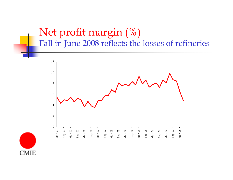## Net profit margin (%) Fall in June 2008 reflects the losses of refineries

![](_page_13_Figure_1.jpeg)

![](_page_13_Picture_2.jpeg)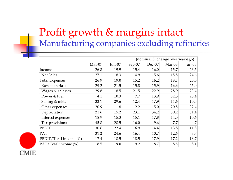## Profit growth & margins intact Manufacturing companies excluding refineries

|                        |        |          | (nominal % change over year-ago) |        |        |          |
|------------------------|--------|----------|----------------------------------|--------|--------|----------|
|                        | Mar-07 | $Jun-07$ | Sep-07                           | Dec-07 | Mar-08 | $Jun-08$ |
| Income                 | 26.8   | 19.9     | 15.4                             | 16.0   | 15.7   | 23.5     |
| Net Sales              | 27.1   | 18.3     | 14.9                             | 15.6   | 15.5   | 24.6     |
| <b>Total Expenses</b>  | 26.9   | 19.0     | 15.2                             | 16.2   | 18.1   | 25.0     |
| Raw materials          | 29.2   | 21.5     | 15.8                             | 15.9   | 16.6   | 25.0     |
| Wages & salaries       | 29.8   | 18.5     | 21.5                             | 22.9   | 28.9   | 23.4     |
| Power & fuel           | 4.1    | 10.3     | 7.7                              | 13.9   | 32.3   | 28.4     |
| Selling & mktg.        | 33.1   | 29.6     | 12.4                             | 17.9   | 11.6   | 10.5     |
| Other expenses         | 20.9   | 11.8     | 12.2                             | 15.0   | 20.5   | 32.4     |
| Depreciation           | 21.6   | 15.2     | 23.1                             | 34.2   | 30.2   | 31.4     |
| Interest expenses      | 18.9   | 15.3     | 15.1                             | 17.8   | 14.5   | 15.6     |
| Tax provisions         | 45.8   | 28.5     | 16.0                             | 9.6    | 7.7    | 4.7      |
| PBDIT                  | 30.6   | 22.4     | 16.9                             | 14.4   | 13.8   | 11.8     |
| PAT                    | 31.2   | 24.6     | 16.4                             | 10.7   | 12.6   | 8.7      |
| PBDIT/Total income (%) | 17.4   | 18.5     | 18.5                             | 17.9   | 17.2   | 16.7     |
| PAT/Total income (%)   | 8.5    | 9.0      | 9.2                              | 8.7    | 8.5    | 8.1      |

![](_page_14_Picture_2.jpeg)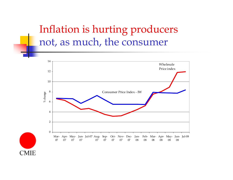## Inflation is hurting producers not, as much, the consumer

![](_page_15_Figure_1.jpeg)

![](_page_15_Picture_2.jpeg)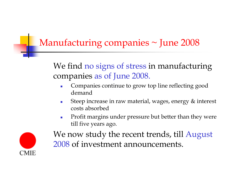## Manufacturing companies ~ June 2008

We find no signs of stress in manufacturing companies as of June 2008.

- $\mathcal{L}_{\mathcal{A}}$  Companies continue to grow top line reflecting good demand
- $\mathcal{L}_{\mathcal{A}}$  Steep increase in raw material, wages, energy & interest costs absorbed
- $\mathcal{L}_{\mathcal{A}}$  Profit margins under pressure but better than they were till five years ago.

![](_page_16_Picture_5.jpeg)

We now study the recent trends, till August 2008 of investment announcements.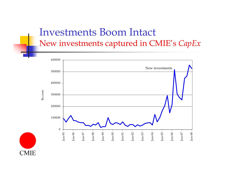## Investments Boom Intact New investments captured in CMIE's *CapEx*

![](_page_17_Figure_1.jpeg)

![](_page_17_Picture_2.jpeg)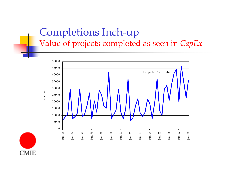## Completions Inch-up Value of projects completed as seen in *CapEx*

![](_page_18_Figure_1.jpeg)

![](_page_18_Picture_2.jpeg)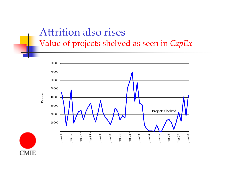## Attrition also rises Value of projects shelved as seen in *CapEx*

![](_page_19_Figure_1.jpeg)

![](_page_19_Picture_2.jpeg)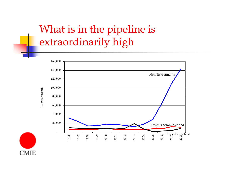# What is in the pipeline is extraordinarily high

![](_page_20_Figure_1.jpeg)

![](_page_20_Picture_2.jpeg)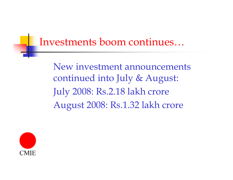## Investments boom continues…

New investment announcements continued into July & August: July 2008: Rs.2.18 lakh crore August 2008: Rs.1.32 lakh crore

![](_page_21_Picture_2.jpeg)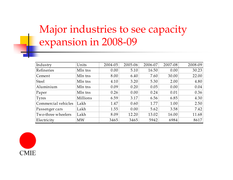# Major industries to see capacity expansion in 2008-09

| Industry            | Units     | 2004-05 | 2005-06 | 2006-07 | 2007-08 | 2008-09 |
|---------------------|-----------|---------|---------|---------|---------|---------|
| Refineries          | Mln tns   | 0.00    | 5.10    | 16.50   | 0.00    | 30.23   |
| Cement              | Mln tns   | 8.00    | 6.40    | 7.60    | 30.00   | 22.00   |
| <b>Steel</b>        | Mln tns   | 4.10    | 3.20    | 5.30    | 2.00    | 4.80    |
| Aluminium           | Mln tns   | 0.09    | 0.20    | 0.05    | 0.00    | 0.04    |
| Paper               | Mln tns   | 0.26    | 0.00    | 0.24    | 0.01    | 0.36    |
| Tyres               | Millions  | 6.59    | 3.17    | 6.56    | 6.85    | 4.30    |
| Commercial vehicles | Lakh      | 1.47    | 0.60    | 1.77    | 1.00    | 2.50    |
| Passenger cars      | Lakh      | 1.55    | 0.00    | 5.62    | 3.58    | 7.42    |
| Two-three wheelers  | Lakh      | 8.09    | 12.20   | 13.02   | 16.00   | 11.68   |
| Electricity         | <b>MW</b> | 3465    | 3465    | 5942    | 6984    | 8617    |

![](_page_22_Picture_2.jpeg)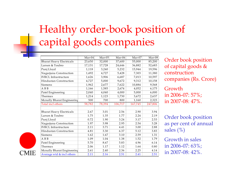# Healthy order-book position of capital goods companies

|                                 | Mar-04 | Mar-05 | Mar-06  | Mar-07  | Mar-08  |
|---------------------------------|--------|--------|---------|---------|---------|
| <b>Bharat Heavy Electricals</b> | 23,650 | 32,000 | 37,600  | 55,000  | 85,200  |
| Larsen & Toubro                 | 17,131 | 17,728 | 24,646  | 36,882  | 52,683  |
| Punj Lloyd                      | 1,118  | 3,240  | 5,232   | 15,944  | 19,596  |
| Nagarjuna Construction          | 1,492  | 4,727  | 5,428   | 7,303   | 11,380  |
| <b>IVRCL</b> Infrastructure     | 1,626  | 3,906  | 6,687   | 7,013   | 10,597  |
| Hindustan Construction          | 4,727  | 5,000  | 9,672   | 9,312   | 10,158  |
| Siemens                         | 1,962  | 2,677  | 7,622   | 10,884  | 9,568   |
| A B B                           | 1,166  | 1,585  | 2,674   | 4,052   | 6,175   |
| Patel Engineering               | 2,040  | 4,040  | 4,000   | 5,000   | 6,000   |
| Thermax                         | 1,214  | 1,123  | 1,730   | 3,672   | 2,637   |
| Mcnally Bharat Engineering      | 500    | 700    | 800     | 1,160   | 2,323   |
| Total incl others               | 58,782 | 78,394 | 106,717 | 167,745 | 247,806 |
|                                 |        |        |         |         |         |
| <b>Bharat Heavy Electricals</b> | 2.67   | 3.01   | 2.56    | 2.90    | 3.94    |
| Larsen & Toubro                 | 1.75   | 1.35   | 1.77    | 2.24    | 2.19    |
| Punj Lloyd                      | 0.72   | 1.90   | 3.24    | 3.17    | 2.53    |
| Nagarjuna Construction          | 1.97   | 3.98   | 2.95    | 2.54    | 3.28    |
| <b>IVRCL Infrastructure</b>     | 2.11   | 3.71   | 4.41    | 3.00    | 2.88    |
| Hindustan Construction          | 4.81   | 3.30   | 6.37    | 5.12    | 3.83    |
| Siemens                         | 1.62   | 1.67   | 3.10    | 2.59    | 1.31    |
| A B B                           | 1.09   | 1.04   | 1.38    | 1.52    | 1.79    |
| Patel Engineering               | 5.70   | 8.67   | 5.83    | 4.96    | 6.14    |
| Thermax                         | 2.06   | 1.17   | 1.12    | 1.64    | 0.80    |
| Mcnally Bharat Engineering      | 2.61   | 2.40   | 2.36    | 2.25    | 4.14    |
| Average wtd & incl others       | 2.11   | 2.16   | 2.51    | 2.41    | 2.51    |
|                                 |        |        |         |         |         |

CMIE

Order book position of capital goods & construction companies (Rs. Crore)

Growth in 2006-07: 57%; in 2007-08: 47%.

Order book position as per cent of annual sales (%)

Growth in sales in 2006-07: 63%; in 2007-08: 42%.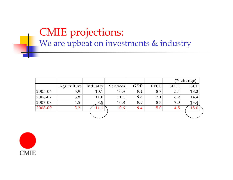## CMIE projections: We are upbeat on investments & industry

|         |             |          |          |            |      |             | (% change) |
|---------|-------------|----------|----------|------------|------|-------------|------------|
|         | Agriculture | Industry | Services | <b>GDP</b> | PFCE | <b>GFCE</b> | <b>GCF</b> |
| 2005-06 | 5.9         | 10.1     | 10.3     | 9.4        | 8.7  | 5.4         | 18.2       |
| 2006-07 | 3.8         | 11.0     | 11.1     | 9.6        | 7.1  | 6.2         | 14.4       |
| 2007-08 | 4.5         | 8.5      | 10.8     | 9.0        | 8.3  | 7.0         | 13.4       |
| 2008-09 | 3.2         |          | 10.6     | 9.4        | 5.0  | 4.5         |            |
|         |             |          |          |            |      |             |            |

![](_page_24_Picture_2.jpeg)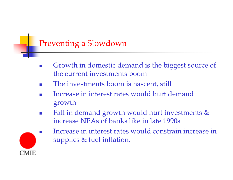#### Preventing a Slowdown

- П Growth in domestic demand is the biggest source of the current investments boom
- П The investments boom is nascent, still
- П Increase in interest rates would hurt demand growth
- П Fall in demand growth would hurt investments & increase NPAs of banks like in late 1990s

![](_page_25_Picture_5.jpeg)

 Increase in interest rates would constrain increase in supplies & fuel inflation.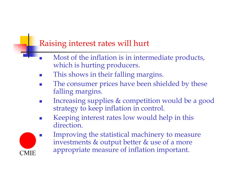#### Raising interest rates will hurt

- П Most of the inflation is in intermediate products, which is hurting producers.
- П This shows in their falling margins.
- F. The consumer prices have been shielded by these falling margins.
- П Increasing supplies & competition would be a good strategy to keep inflation in control.
- П Keeping interest rates low would help in this direction.

![](_page_26_Picture_6.jpeg)

 Improving the statistical machinery to measure investments & output better & use of a more appropriate measure of inflation important.